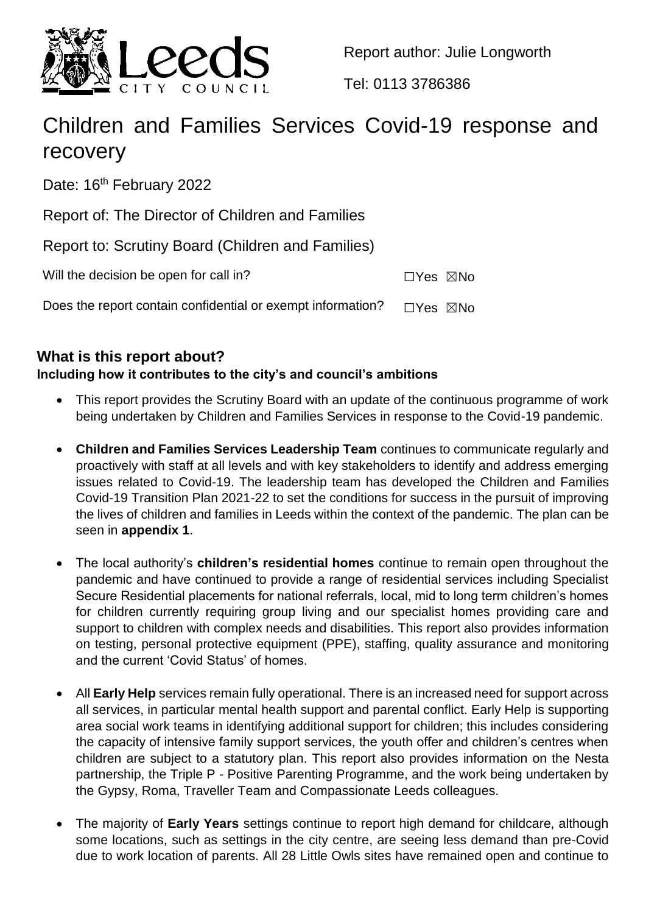

Report author: Julie Longworth

Tel: 0113 3786386

# Children and Families Services Covid-19 response and recovery

Date: 16<sup>th</sup> February 2022

Report of: The Director of Children and Families

Report to: Scrutiny Board (Children and Families)

| Will the decision be open for call in?                      | ⊡Yes ⊠No |  |
|-------------------------------------------------------------|----------|--|
| Does the report contain confidential or exempt information? | □Yes ⊠No |  |

# **What is this report about?**

# **Including how it contributes to the city's and council's ambitions**

- This report provides the Scrutiny Board with an update of the continuous programme of work being undertaken by Children and Families Services in response to the Covid-19 pandemic.
- **Children and Families Services Leadership Team** continues to communicate regularly and proactively with staff at all levels and with key stakeholders to identify and address emerging issues related to Covid-19. The leadership team has developed the Children and Families Covid-19 Transition Plan 2021-22 to set the conditions for success in the pursuit of improving the lives of children and families in Leeds within the context of the pandemic. The plan can be seen in **appendix 1**.
- The local authority's **children's residential homes** continue to remain open throughout the pandemic and have continued to provide a range of residential services including Specialist Secure Residential placements for national referrals, local, mid to long term children's homes for children currently requiring group living and our specialist homes providing care and support to children with complex needs and disabilities. This report also provides information on testing, personal protective equipment (PPE), staffing, quality assurance and monitoring and the current 'Covid Status' of homes.
- All **Early Help** services remain fully operational. There is an increased need for support across all services, in particular mental health support and parental conflict. Early Help is supporting area social work teams in identifying additional support for children; this includes considering the capacity of intensive family support services, the youth offer and children's centres when children are subject to a statutory plan. This report also provides information on the Nesta partnership, the Triple P - Positive Parenting Programme, and the work being undertaken by the Gypsy, Roma, Traveller Team and Compassionate Leeds colleagues.
- The majority of **Early Years** settings continue to report high demand for childcare, although some locations, such as settings in the city centre, are seeing less demand than pre-Covid due to work location of parents. All 28 Little Owls sites have remained open and continue to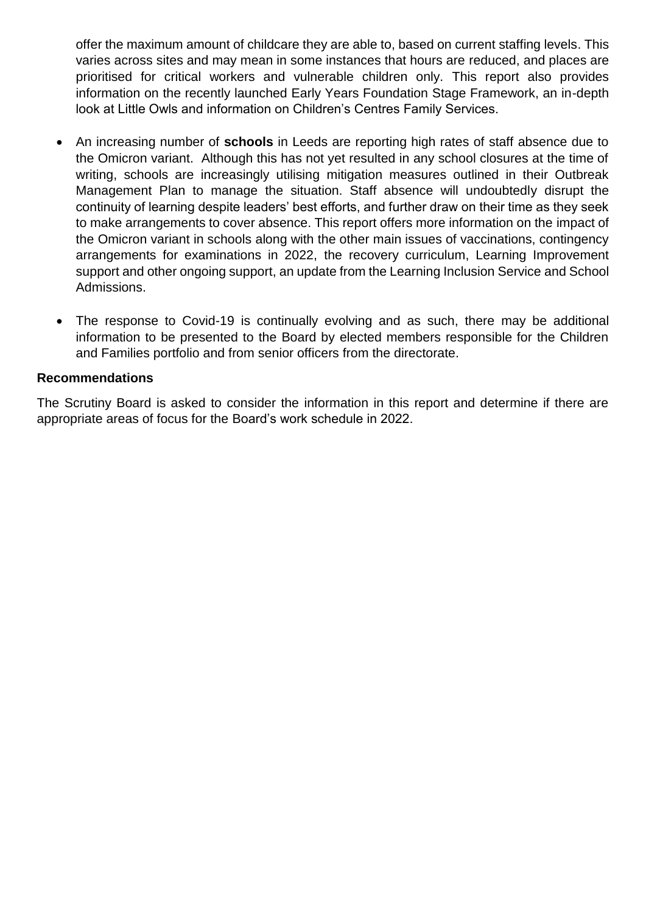offer the maximum amount of childcare they are able to, based on current staffing levels. This varies across sites and may mean in some instances that hours are reduced, and places are prioritised for critical workers and vulnerable children only. This report also provides information on the recently launched Early Years Foundation Stage Framework, an in-depth look at Little Owls and information on Children's Centres Family Services.

- An increasing number of **schools** in Leeds are reporting high rates of staff absence due to the Omicron variant. Although this has not yet resulted in any school closures at the time of writing, schools are increasingly utilising mitigation measures outlined in their Outbreak Management Plan to manage the situation. Staff absence will undoubtedly disrupt the continuity of learning despite leaders' best efforts, and further draw on their time as they seek to make arrangements to cover absence. This report offers more information on the impact of the Omicron variant in schools along with the other main issues of vaccinations, contingency arrangements for examinations in 2022, the recovery curriculum, Learning Improvement support and other ongoing support, an update from the Learning Inclusion Service and School Admissions.
- The response to Covid-19 is continually evolving and as such, there may be additional information to be presented to the Board by elected members responsible for the Children and Families portfolio and from senior officers from the directorate.

## **Recommendations**

The Scrutiny Board is asked to consider the information in this report and determine if there are appropriate areas of focus for the Board's work schedule in 2022.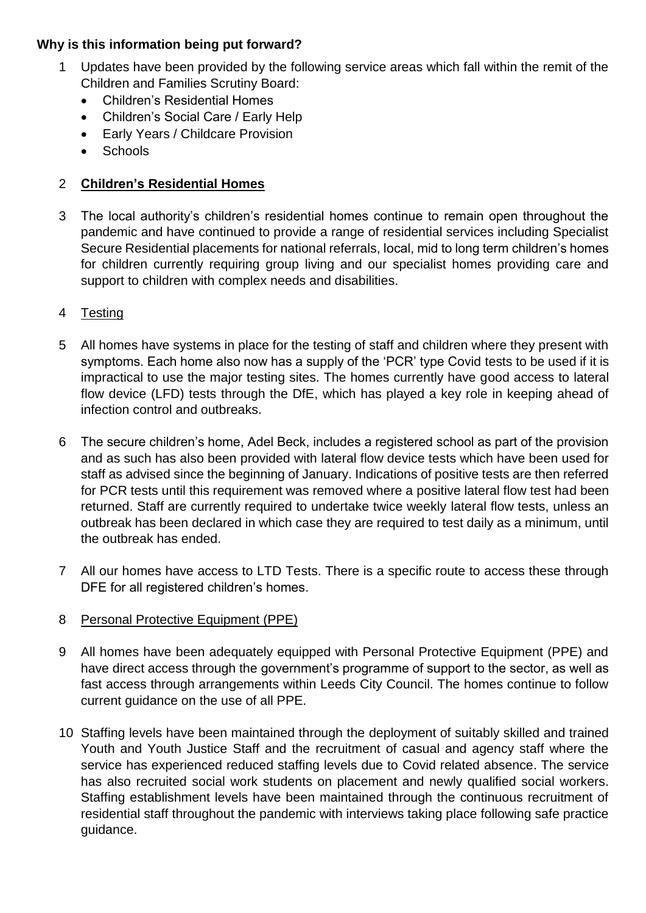## **Why is this information being put forward?**

- 1 Updates have been provided by the following service areas which fall within the remit of the Children and Families Scrutiny Board:
	- Children's Residential Homes
	- Children's Social Care / Early Help
	- Early Years / Childcare Provision
	- Schools

## 2 **Children's Residential Homes**

- 3 The local authority's children's residential homes continue to remain open throughout the pandemic and have continued to provide a range of residential services including Specialist Secure Residential placements for national referrals, local, mid to long term children's homes for children currently requiring group living and our specialist homes providing care and support to children with complex needs and disabilities.
- 4 Testing
- 5 All homes have systems in place for the testing of staff and children where they present with symptoms. Each home also now has a supply of the 'PCR' type Covid tests to be used if it is impractical to use the major testing sites. The homes currently have good access to lateral flow device (LFD) tests through the DfE, which has played a key role in keeping ahead of infection control and outbreaks.
- 6 The secure children's home, Adel Beck, includes a registered school as part of the provision and as such has also been provided with lateral flow device tests which have been used for staff as advised since the beginning of January. Indications of positive tests are then referred for PCR tests until this requirement was removed where a positive lateral flow test had been returned. Staff are currently required to undertake twice weekly lateral flow tests, unless an outbreak has been declared in which case they are required to test daily as a minimum, until the outbreak has ended.
- 7 All our homes have access to LTD Tests. There is a specific route to access these through DFE for all registered children's homes.

## 8 Personal Protective Equipment (PPE)

- 9 All homes have been adequately equipped with Personal Protective Equipment (PPE) and have direct access through the government's programme of support to the sector, as well as fast access through arrangements within Leeds City Council. The homes continue to follow current guidance on the use of all PPE.
- 10 Staffing levels have been maintained through the deployment of suitably skilled and trained Youth and Youth Justice Staff and the recruitment of casual and agency staff where the service has experienced reduced staffing levels due to Covid related absence. The service has also recruited social work students on placement and newly qualified social workers. Staffing establishment levels have been maintained through the continuous recruitment of residential staff throughout the pandemic with interviews taking place following safe practice guidance.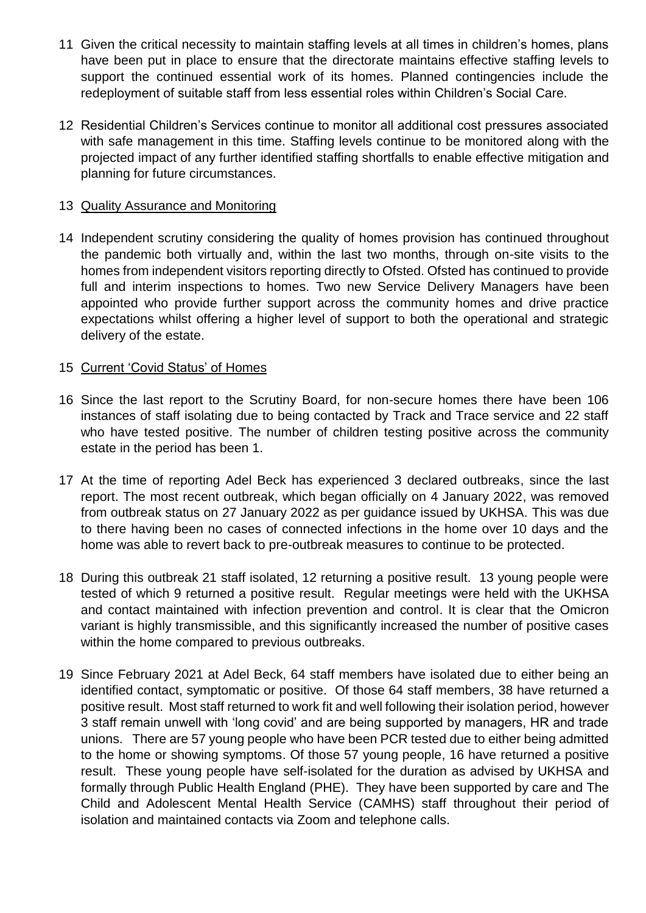- 11 Given the critical necessity to maintain staffing levels at all times in children's homes, plans have been put in place to ensure that the directorate maintains effective staffing levels to support the continued essential work of its homes. Planned contingencies include the redeployment of suitable staff from less essential roles within Children's Social Care.
- 12 Residential Children's Services continue to monitor all additional cost pressures associated with safe management in this time. Staffing levels continue to be monitored along with the projected impact of any further identified staffing shortfalls to enable effective mitigation and planning for future circumstances.

## 13 Quality Assurance and Monitoring

14 Independent scrutiny considering the quality of homes provision has continued throughout the pandemic both virtually and, within the last two months, through on-site visits to the homes from independent visitors reporting directly to Ofsted. Ofsted has continued to provide full and interim inspections to homes. Two new Service Delivery Managers have been appointed who provide further support across the community homes and drive practice expectations whilst offering a higher level of support to both the operational and strategic delivery of the estate.

## 15 Current 'Covid Status' of Homes

- 16 Since the last report to the Scrutiny Board, for non-secure homes there have been 106 instances of staff isolating due to being contacted by Track and Trace service and 22 staff who have tested positive. The number of children testing positive across the community estate in the period has been 1.
- 17 At the time of reporting Adel Beck has experienced 3 declared outbreaks, since the last report. The most recent outbreak, which began officially on 4 January 2022, was removed from outbreak status on 27 January 2022 as per guidance issued by UKHSA. This was due to there having been no cases of connected infections in the home over 10 days and the home was able to revert back to pre-outbreak measures to continue to be protected.
- 18 During this outbreak 21 staff isolated, 12 returning a positive result. 13 young people were tested of which 9 returned a positive result. Regular meetings were held with the UKHSA and contact maintained with infection prevention and control. It is clear that the Omicron variant is highly transmissible, and this significantly increased the number of positive cases within the home compared to previous outbreaks.
- 19 Since February 2021 at Adel Beck, 64 staff members have isolated due to either being an identified contact, symptomatic or positive. Of those 64 staff members, 38 have returned a positive result. Most staff returned to work fit and well following their isolation period, however 3 staff remain unwell with 'long covid' and are being supported by managers, HR and trade unions. There are 57 young people who have been PCR tested due to either being admitted to the home or showing symptoms. Of those 57 young people, 16 have returned a positive result. These young people have self-isolated for the duration as advised by UKHSA and formally through Public Health England (PHE). They have been supported by care and The Child and Adolescent Mental Health Service (CAMHS) staff throughout their period of isolation and maintained contacts via Zoom and telephone calls.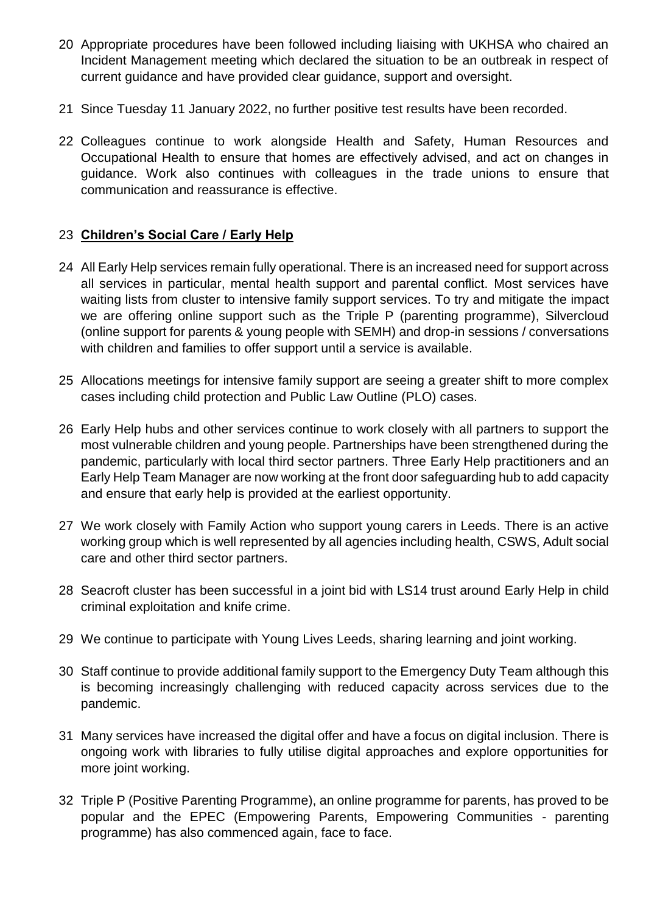- 20 Appropriate procedures have been followed including liaising with UKHSA who chaired an Incident Management meeting which declared the situation to be an outbreak in respect of current guidance and have provided clear guidance, support and oversight.
- 21 Since Tuesday 11 January 2022, no further positive test results have been recorded.
- 22 Colleagues continue to work alongside Health and Safety, Human Resources and Occupational Health to ensure that homes are effectively advised, and act on changes in guidance. Work also continues with colleagues in the trade unions to ensure that communication and reassurance is effective.

## 23 **Children's Social Care / Early Help**

- 24 All Early Help services remain fully operational. There is an increased need for support across all services in particular, mental health support and parental conflict. Most services have waiting lists from cluster to intensive family support services. To try and mitigate the impact we are offering online support such as the Triple P (parenting programme), Silvercloud (online support for parents & young people with SEMH) and drop-in sessions / conversations with children and families to offer support until a service is available.
- 25 Allocations meetings for intensive family support are seeing a greater shift to more complex cases including child protection and Public Law Outline (PLO) cases.
- 26 Early Help hubs and other services continue to work closely with all partners to support the most vulnerable children and young people. Partnerships have been strengthened during the pandemic, particularly with local third sector partners. Three Early Help practitioners and an Early Help Team Manager are now working at the front door safeguarding hub to add capacity and ensure that early help is provided at the earliest opportunity.
- 27 We work closely with Family Action who support young carers in Leeds. There is an active working group which is well represented by all agencies including health, CSWS, Adult social care and other third sector partners.
- 28 Seacroft cluster has been successful in a joint bid with LS14 trust around Early Help in child criminal exploitation and knife crime.
- 29 We continue to participate with Young Lives Leeds, sharing learning and joint working.
- 30 Staff continue to provide additional family support to the Emergency Duty Team although this is becoming increasingly challenging with reduced capacity across services due to the pandemic.
- 31 Many services have increased the digital offer and have a focus on digital inclusion. There is ongoing work with libraries to fully utilise digital approaches and explore opportunities for more joint working.
- 32 Triple P (Positive Parenting Programme), an online programme for parents, has proved to be popular and the EPEC (Empowering Parents, Empowering Communities - parenting programme) has also commenced again, face to face.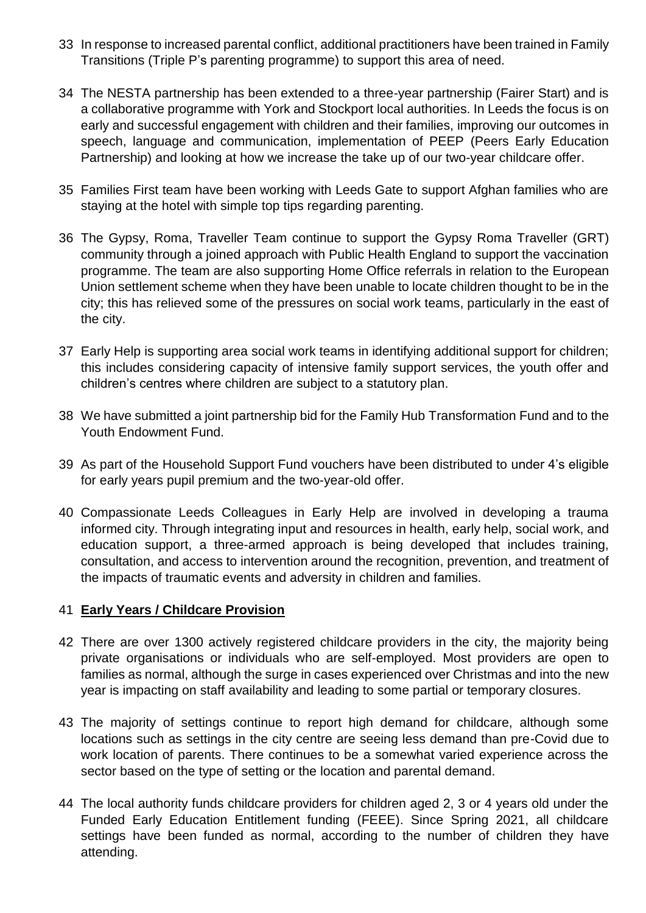- 33 In response to increased parental conflict, additional practitioners have been trained in Family Transitions (Triple P's parenting programme) to support this area of need.
- 34 The NESTA partnership has been extended to a three-year partnership (Fairer Start) and is a collaborative programme with York and Stockport local authorities. In Leeds the focus is on early and successful engagement with children and their families, improving our outcomes in speech, language and communication, implementation of PEEP (Peers Early Education Partnership) and looking at how we increase the take up of our two-year childcare offer.
- 35 Families First team have been working with Leeds Gate to support Afghan families who are staying at the hotel with simple top tips regarding parenting.
- 36 The Gypsy, Roma, Traveller Team continue to support the Gypsy Roma Traveller (GRT) community through a joined approach with Public Health England to support the vaccination programme. The team are also supporting Home Office referrals in relation to the European Union settlement scheme when they have been unable to locate children thought to be in the city; this has relieved some of the pressures on social work teams, particularly in the east of the city.
- 37 Early Help is supporting area social work teams in identifying additional support for children; this includes considering capacity of intensive family support services, the youth offer and children's centres where children are subject to a statutory plan.
- 38 We have submitted a joint partnership bid for the Family Hub Transformation Fund and to the Youth Endowment Fund.
- 39 As part of the Household Support Fund vouchers have been distributed to under 4's eligible for early years pupil premium and the two-year-old offer.
- 40 Compassionate Leeds Colleagues in Early Help are involved in developing a trauma informed city. Through integrating input and resources in health, early help, social work, and education support, a three-armed approach is being developed that includes training, consultation, and access to intervention around the recognition, prevention, and treatment of the impacts of traumatic events and adversity in children and families.

## 41 **Early Years / Childcare Provision**

- 42 There are over 1300 actively registered childcare providers in the city, the majority being private organisations or individuals who are self-employed. Most providers are open to families as normal, although the surge in cases experienced over Christmas and into the new year is impacting on staff availability and leading to some partial or temporary closures.
- 43 The majority of settings continue to report high demand for childcare, although some locations such as settings in the city centre are seeing less demand than pre-Covid due to work location of parents. There continues to be a somewhat varied experience across the sector based on the type of setting or the location and parental demand.
- 44 The local authority funds childcare providers for children aged 2, 3 or 4 years old under the Funded Early Education Entitlement funding (FEEE). Since Spring 2021, all childcare settings have been funded as normal, according to the number of children they have attending.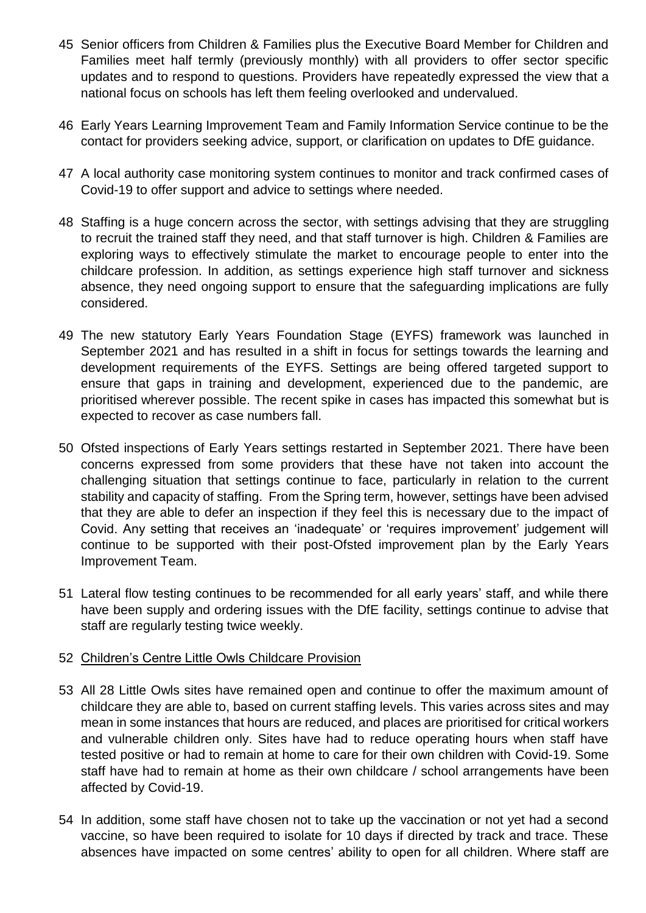- 45 Senior officers from Children & Families plus the Executive Board Member for Children and Families meet half termly (previously monthly) with all providers to offer sector specific updates and to respond to questions. Providers have repeatedly expressed the view that a national focus on schools has left them feeling overlooked and undervalued.
- 46 Early Years Learning Improvement Team and Family Information Service continue to be the contact for providers seeking advice, support, or clarification on updates to DfE guidance.
- 47 A local authority case monitoring system continues to monitor and track confirmed cases of Covid-19 to offer support and advice to settings where needed.
- 48 Staffing is a huge concern across the sector, with settings advising that they are struggling to recruit the trained staff they need, and that staff turnover is high. Children & Families are exploring ways to effectively stimulate the market to encourage people to enter into the childcare profession. In addition, as settings experience high staff turnover and sickness absence, they need ongoing support to ensure that the safeguarding implications are fully considered.
- 49 The new statutory Early Years Foundation Stage (EYFS) framework was launched in September 2021 and has resulted in a shift in focus for settings towards the learning and development requirements of the EYFS. Settings are being offered targeted support to ensure that gaps in training and development, experienced due to the pandemic, are prioritised wherever possible. The recent spike in cases has impacted this somewhat but is expected to recover as case numbers fall.
- 50 Ofsted inspections of Early Years settings restarted in September 2021. There have been concerns expressed from some providers that these have not taken into account the challenging situation that settings continue to face, particularly in relation to the current stability and capacity of staffing. From the Spring term, however, settings have been advised that they are able to defer an inspection if they feel this is necessary due to the impact of Covid. Any setting that receives an 'inadequate' or 'requires improvement' judgement will continue to be supported with their post-Ofsted improvement plan by the Early Years Improvement Team.
- 51 Lateral flow testing continues to be recommended for all early years' staff, and while there have been supply and ordering issues with the DfE facility, settings continue to advise that staff are regularly testing twice weekly.

## 52 Children's Centre Little Owls Childcare Provision

- 53 All 28 Little Owls sites have remained open and continue to offer the maximum amount of childcare they are able to, based on current staffing levels. This varies across sites and may mean in some instances that hours are reduced, and places are prioritised for critical workers and vulnerable children only. Sites have had to reduce operating hours when staff have tested positive or had to remain at home to care for their own children with Covid-19. Some staff have had to remain at home as their own childcare / school arrangements have been affected by Covid-19.
- 54 In addition, some staff have chosen not to take up the vaccination or not yet had a second vaccine, so have been required to isolate for 10 days if directed by track and trace. These absences have impacted on some centres' ability to open for all children. Where staff are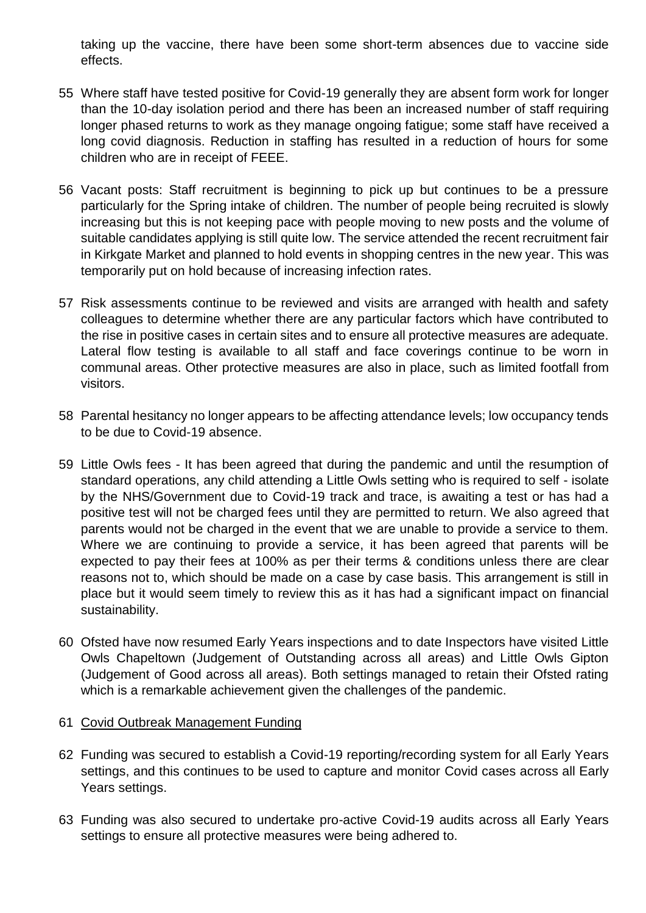taking up the vaccine, there have been some short-term absences due to vaccine side effects.

- 55 Where staff have tested positive for Covid-19 generally they are absent form work for longer than the 10-day isolation period and there has been an increased number of staff requiring longer phased returns to work as they manage ongoing fatigue; some staff have received a long covid diagnosis. Reduction in staffing has resulted in a reduction of hours for some children who are in receipt of FEEE.
- 56 Vacant posts: Staff recruitment is beginning to pick up but continues to be a pressure particularly for the Spring intake of children. The number of people being recruited is slowly increasing but this is not keeping pace with people moving to new posts and the volume of suitable candidates applying is still quite low. The service attended the recent recruitment fair in Kirkgate Market and planned to hold events in shopping centres in the new year. This was temporarily put on hold because of increasing infection rates.
- 57 Risk assessments continue to be reviewed and visits are arranged with health and safety colleagues to determine whether there are any particular factors which have contributed to the rise in positive cases in certain sites and to ensure all protective measures are adequate. Lateral flow testing is available to all staff and face coverings continue to be worn in communal areas. Other protective measures are also in place, such as limited footfall from visitors.
- 58 Parental hesitancy no longer appears to be affecting attendance levels; low occupancy tends to be due to Covid-19 absence.
- 59 Little Owls fees It has been agreed that during the pandemic and until the resumption of standard operations, any child attending a Little Owls setting who is required to self - isolate by the NHS/Government due to Covid-19 track and trace, is awaiting a test or has had a positive test will not be charged fees until they are permitted to return. We also agreed that parents would not be charged in the event that we are unable to provide a service to them. Where we are continuing to provide a service, it has been agreed that parents will be expected to pay their fees at 100% as per their terms & conditions unless there are clear reasons not to, which should be made on a case by case basis. This arrangement is still in place but it would seem timely to review this as it has had a significant impact on financial sustainability.
- 60 Ofsted have now resumed Early Years inspections and to date Inspectors have visited Little Owls Chapeltown (Judgement of Outstanding across all areas) and Little Owls Gipton (Judgement of Good across all areas). Both settings managed to retain their Ofsted rating which is a remarkable achievement given the challenges of the pandemic.

## 61 Covid Outbreak Management Funding

- 62 Funding was secured to establish a Covid-19 reporting/recording system for all Early Years settings, and this continues to be used to capture and monitor Covid cases across all Early Years settings.
- 63 Funding was also secured to undertake pro-active Covid-19 audits across all Early Years settings to ensure all protective measures were being adhered to.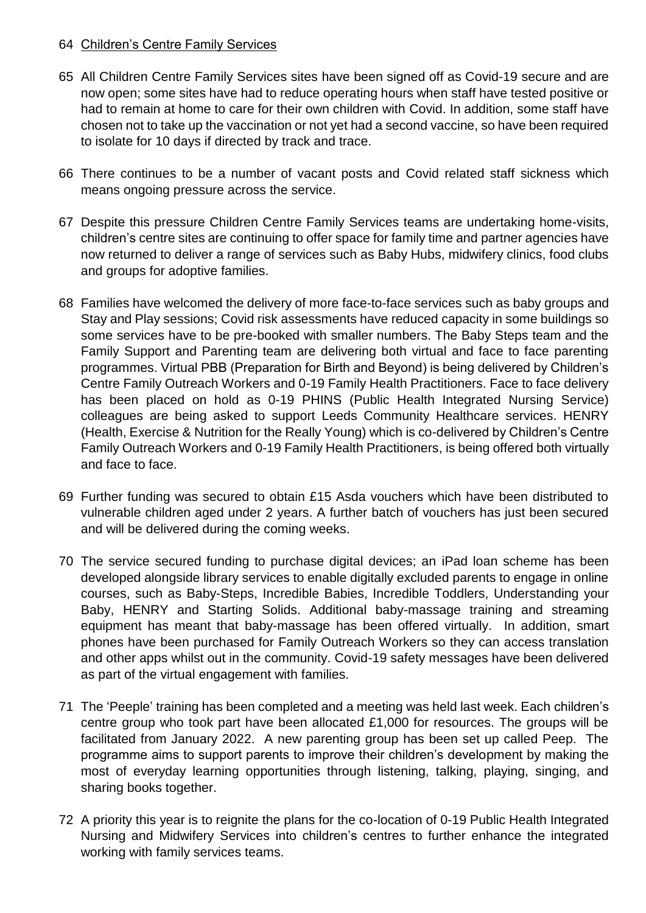## 64 Children's Centre Family Services

- 65 All Children Centre Family Services sites have been signed off as Covid-19 secure and are now open; some sites have had to reduce operating hours when staff have tested positive or had to remain at home to care for their own children with Covid. In addition, some staff have chosen not to take up the vaccination or not yet had a second vaccine, so have been required to isolate for 10 days if directed by track and trace.
- 66 There continues to be a number of vacant posts and Covid related staff sickness which means ongoing pressure across the service.
- 67 Despite this pressure Children Centre Family Services teams are undertaking home-visits, children's centre sites are continuing to offer space for family time and partner agencies have now returned to deliver a range of services such as Baby Hubs, midwifery clinics, food clubs and groups for adoptive families.
- 68 Families have welcomed the delivery of more face-to-face services such as baby groups and Stay and Play sessions; Covid risk assessments have reduced capacity in some buildings so some services have to be pre-booked with smaller numbers. The Baby Steps team and the Family Support and Parenting team are delivering both virtual and face to face parenting programmes. Virtual PBB (Preparation for Birth and Beyond) is being delivered by Children's Centre Family Outreach Workers and 0-19 Family Health Practitioners. Face to face delivery has been placed on hold as 0-19 PHINS (Public Health Integrated Nursing Service) colleagues are being asked to support Leeds Community Healthcare services. HENRY (Health, Exercise & Nutrition for the Really Young) which is co-delivered by Children's Centre Family Outreach Workers and 0-19 Family Health Practitioners, is being offered both virtually and face to face.
- 69 Further funding was secured to obtain £15 Asda vouchers which have been distributed to vulnerable children aged under 2 years. A further batch of vouchers has just been secured and will be delivered during the coming weeks.
- 70 The service secured funding to purchase digital devices; an iPad loan scheme has been developed alongside library services to enable digitally excluded parents to engage in online courses, such as Baby-Steps, Incredible Babies, Incredible Toddlers, Understanding your Baby, HENRY and Starting Solids. Additional baby-massage training and streaming equipment has meant that baby-massage has been offered virtually. In addition, smart phones have been purchased for Family Outreach Workers so they can access translation and other apps whilst out in the community. Covid-19 safety messages have been delivered as part of the virtual engagement with families.
- 71 The 'Peeple' training has been completed and a meeting was held last week. Each children's centre group who took part have been allocated £1,000 for resources. The groups will be facilitated from January 2022. A new parenting group has been set up called Peep. The programme aims to support parents to improve their children's development by making the most of everyday learning opportunities through listening, talking, playing, singing, and sharing books together.
- 72 A priority this year is to reignite the plans for the co-location of 0-19 Public Health Integrated Nursing and Midwifery Services into children's centres to further enhance the integrated working with family services teams.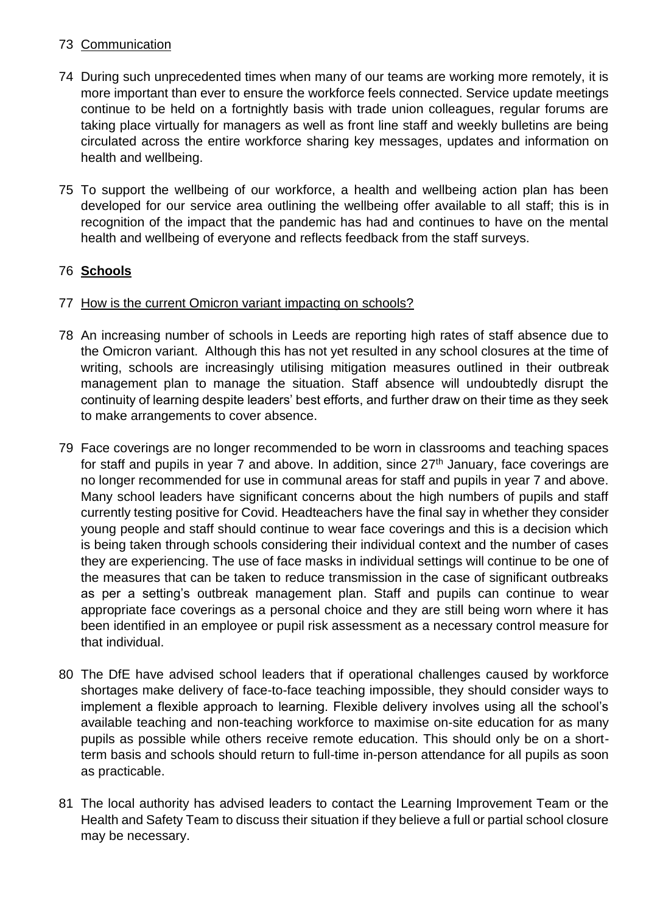## 73 Communication

- 74 During such unprecedented times when many of our teams are working more remotely, it is more important than ever to ensure the workforce feels connected. Service update meetings continue to be held on a fortnightly basis with trade union colleagues, regular forums are taking place virtually for managers as well as front line staff and weekly bulletins are being circulated across the entire workforce sharing key messages, updates and information on health and wellbeing.
- 75 To support the wellbeing of our workforce, a health and wellbeing action plan has been developed for our service area outlining the wellbeing offer available to all staff; this is in recognition of the impact that the pandemic has had and continues to have on the mental health and wellbeing of everyone and reflects feedback from the staff surveys.

## 76 **Schools**

- 77 How is the current Omicron variant impacting on schools?
- 78 An increasing number of schools in Leeds are reporting high rates of staff absence due to the Omicron variant. Although this has not yet resulted in any school closures at the time of writing, schools are increasingly utilising mitigation measures outlined in their outbreak management plan to manage the situation. Staff absence will undoubtedly disrupt the continuity of learning despite leaders' best efforts, and further draw on their time as they seek to make arrangements to cover absence.
- 79 Face coverings are no longer recommended to be worn in classrooms and teaching spaces for staff and pupils in year 7 and above. In addition, since 27<sup>th</sup> January, face coverings are no longer recommended for use in communal areas for staff and pupils in year 7 and above. Many school leaders have significant concerns about the high numbers of pupils and staff currently testing positive for Covid. Headteachers have the final say in whether they consider young people and staff should continue to wear face coverings and this is a decision which is being taken through schools considering their individual context and the number of cases they are experiencing. The use of face masks in individual settings will continue to be one of the measures that can be taken to reduce transmission in the case of significant outbreaks as per a setting's outbreak management plan. Staff and pupils can continue to wear appropriate face coverings as a personal choice and they are still being worn where it has been identified in an employee or pupil risk assessment as a necessary control measure for that individual.
- 80 The DfE have advised school leaders that if operational challenges caused by workforce shortages make delivery of face-to-face teaching impossible, they should consider ways to implement a flexible approach to learning. Flexible delivery involves using all the school's available teaching and non-teaching workforce to maximise on-site education for as many pupils as possible while others receive remote education. This should only be on a shortterm basis and schools should return to full-time in-person attendance for all pupils as soon as practicable.
- 81 The local authority has advised leaders to contact the Learning Improvement Team or the Health and Safety Team to discuss their situation if they believe a full or partial school closure may be necessary.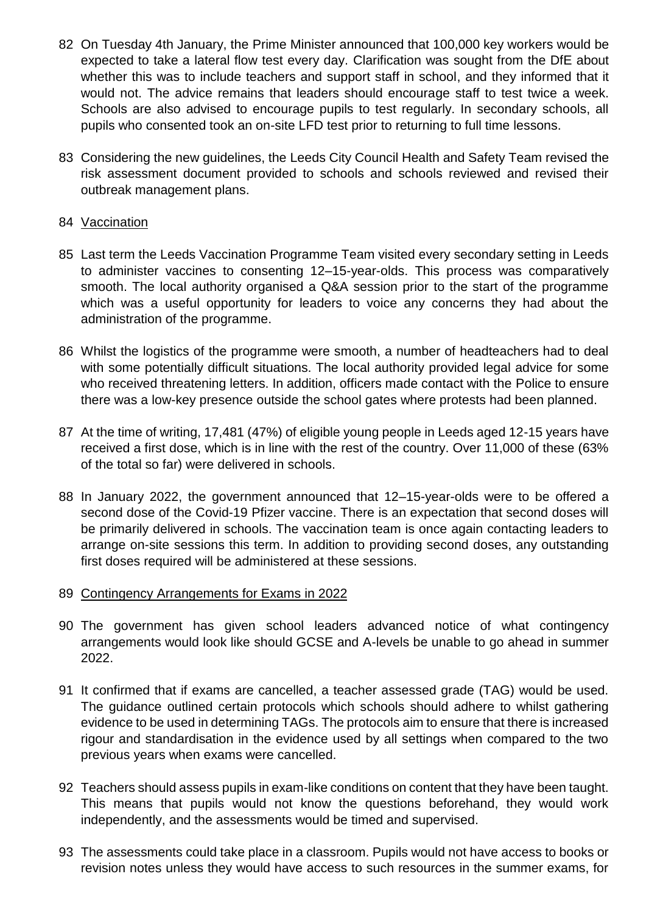- 82 On Tuesday 4th January, the Prime Minister announced that 100,000 key workers would be expected to take a lateral flow test every day. Clarification was sought from the DfE about whether this was to include teachers and support staff in school, and they informed that it would not. The advice remains that leaders should encourage staff to test twice a week. Schools are also advised to encourage pupils to test regularly. In secondary schools, all pupils who consented took an on-site LFD test prior to returning to full time lessons.
- 83 Considering the new guidelines, the Leeds City Council Health and Safety Team revised the risk assessment document provided to schools and schools reviewed and revised their outbreak management plans.

## 84 Vaccination

- 85 Last term the Leeds Vaccination Programme Team visited every secondary setting in Leeds to administer vaccines to consenting 12–15-year-olds. This process was comparatively smooth. The local authority organised a Q&A session prior to the start of the programme which was a useful opportunity for leaders to voice any concerns they had about the administration of the programme.
- 86 Whilst the logistics of the programme were smooth, a number of headteachers had to deal with some potentially difficult situations. The local authority provided legal advice for some who received threatening letters. In addition, officers made contact with the Police to ensure there was a low-key presence outside the school gates where protests had been planned.
- 87 At the time of writing, 17,481 (47%) of eligible young people in Leeds aged 12-15 years have received a first dose, which is in line with the rest of the country. Over 11,000 of these (63% of the total so far) were delivered in schools.
- 88 In January 2022, the government announced that 12–15-year-olds were to be offered a second dose of the Covid-19 Pfizer vaccine. There is an expectation that second doses will be primarily delivered in schools. The vaccination team is once again contacting leaders to arrange on-site sessions this term. In addition to providing second doses, any outstanding first doses required will be administered at these sessions.
- 89 Contingency Arrangements for Exams in 2022
- 90 The government has given school leaders advanced notice of what contingency arrangements would look like should GCSE and A-levels be unable to go ahead in summer 2022.
- 91 It confirmed that if exams are cancelled, a teacher assessed grade (TAG) would be used. The guidance outlined certain protocols which schools should adhere to whilst gathering evidence to be used in determining TAGs. The protocols aim to ensure that there is increased rigour and standardisation in the evidence used by all settings when compared to the two previous years when exams were cancelled.
- 92 Teachers should assess pupils in exam-like conditions on content that they have been taught. This means that pupils would not know the questions beforehand, they would work independently, and the assessments would be timed and supervised.
- 93 The assessments could take place in a classroom. Pupils would not have access to books or revision notes unless they would have access to such resources in the summer exams, for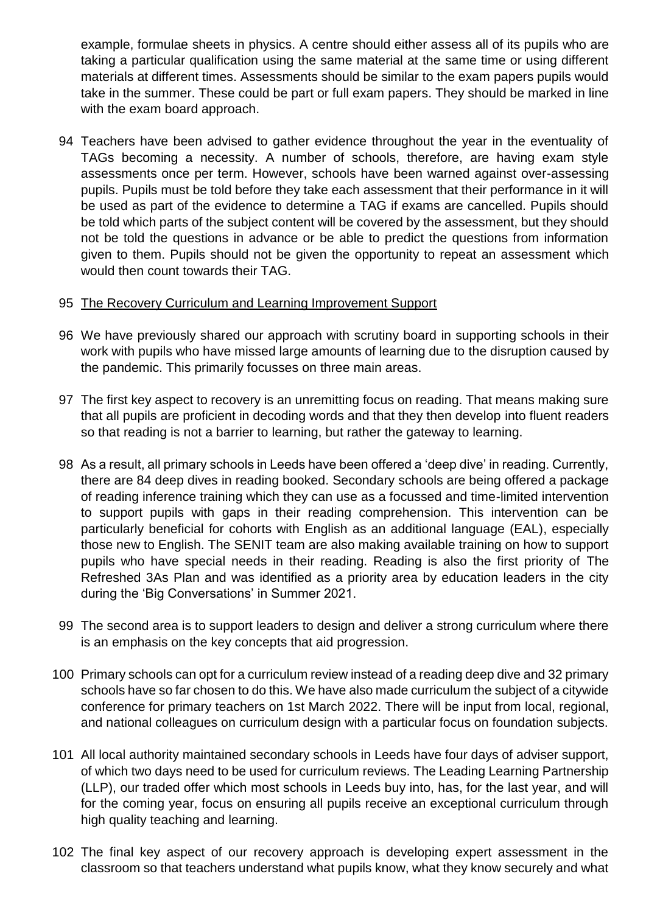example, formulae sheets in physics. A centre should either assess all of its pupils who are taking a particular qualification using the same material at the same time or using different materials at different times. Assessments should be similar to the exam papers pupils would take in the summer. These could be part or full exam papers. They should be marked in line with the exam board approach.

94 Teachers have been advised to gather evidence throughout the year in the eventuality of TAGs becoming a necessity. A number of schools, therefore, are having exam style assessments once per term. However, schools have been warned against over-assessing pupils. Pupils must be told before they take each assessment that their performance in it will be used as part of the evidence to determine a TAG if exams are cancelled. Pupils should be told which parts of the subject content will be covered by the assessment, but they should not be told the questions in advance or be able to predict the questions from information given to them. Pupils should not be given the opportunity to repeat an assessment which would then count towards their TAG.

## 95 The Recovery Curriculum and Learning Improvement Support

- 96 We have previously shared our approach with scrutiny board in supporting schools in their work with pupils who have missed large amounts of learning due to the disruption caused by the pandemic. This primarily focusses on three main areas.
- 97 The first key aspect to recovery is an unremitting focus on reading. That means making sure that all pupils are proficient in decoding words and that they then develop into fluent readers so that reading is not a barrier to learning, but rather the gateway to learning.
- 98 As a result, all primary schools in Leeds have been offered a 'deep dive' in reading. Currently, there are 84 deep dives in reading booked. Secondary schools are being offered a package of reading inference training which they can use as a focussed and time-limited intervention to support pupils with gaps in their reading comprehension. This intervention can be particularly beneficial for cohorts with English as an additional language (EAL), especially those new to English. The SENIT team are also making available training on how to support pupils who have special needs in their reading. Reading is also the first priority of The Refreshed 3As Plan and was identified as a priority area by education leaders in the city during the 'Big Conversations' in Summer 2021.
- 99 The second area is to support leaders to design and deliver a strong curriculum where there is an emphasis on the key concepts that aid progression.
- 100 Primary schools can opt for a curriculum review instead of a reading deep dive and 32 primary schools have so far chosen to do this. We have also made curriculum the subject of a citywide conference for primary teachers on 1st March 2022. There will be input from local, regional, and national colleagues on curriculum design with a particular focus on foundation subjects.
- 101 All local authority maintained secondary schools in Leeds have four days of adviser support, of which two days need to be used for curriculum reviews. The Leading Learning Partnership (LLP), our traded offer which most schools in Leeds buy into, has, for the last year, and will for the coming year, focus on ensuring all pupils receive an exceptional curriculum through high quality teaching and learning.
- 102 The final key aspect of our recovery approach is developing expert assessment in the classroom so that teachers understand what pupils know, what they know securely and what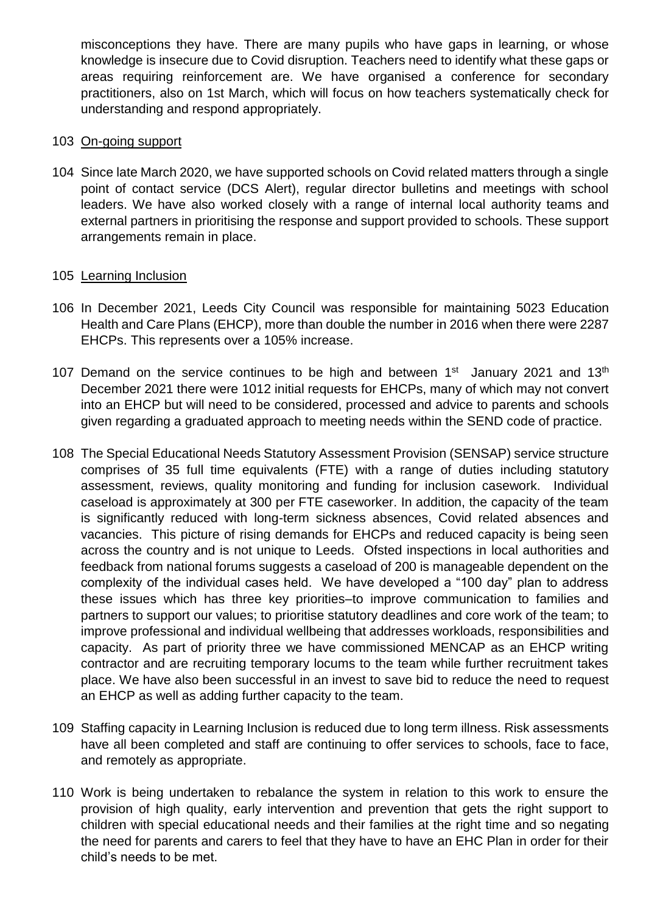misconceptions they have. There are many pupils who have gaps in learning, or whose knowledge is insecure due to Covid disruption. Teachers need to identify what these gaps or areas requiring reinforcement are. We have organised a conference for secondary practitioners, also on 1st March, which will focus on how teachers systematically check for understanding and respond appropriately.

## 103 On-going support

104 Since late March 2020, we have supported schools on Covid related matters through a single point of contact service (DCS Alert), regular director bulletins and meetings with school leaders. We have also worked closely with a range of internal local authority teams and external partners in prioritising the response and support provided to schools. These support arrangements remain in place.

## 105 Learning Inclusion

- 106 In December 2021, Leeds City Council was responsible for maintaining 5023 Education Health and Care Plans (EHCP), more than double the number in 2016 when there were 2287 EHCPs. This represents over a 105% increase.
- 107 Demand on the service continues to be high and between  $1<sup>st</sup>$  January 2021 and  $13<sup>th</sup>$ December 2021 there were 1012 initial requests for EHCPs, many of which may not convert into an EHCP but will need to be considered, processed and advice to parents and schools given regarding a graduated approach to meeting needs within the SEND code of practice.
- 108 The Special Educational Needs Statutory Assessment Provision (SENSAP) service structure comprises of 35 full time equivalents (FTE) with a range of duties including statutory assessment, reviews, quality monitoring and funding for inclusion casework. Individual caseload is approximately at 300 per FTE caseworker. In addition, the capacity of the team is significantly reduced with long-term sickness absences, Covid related absences and vacancies. This picture of rising demands for EHCPs and reduced capacity is being seen across the country and is not unique to Leeds. Ofsted inspections in local authorities and feedback from national forums suggests a caseload of 200 is manageable dependent on the complexity of the individual cases held. We have developed a "100 day" plan to address these issues which has three key priorities–to improve communication to families and partners to support our values; to prioritise statutory deadlines and core work of the team; to improve professional and individual wellbeing that addresses workloads, responsibilities and capacity. As part of priority three we have commissioned MENCAP as an EHCP writing contractor and are recruiting temporary locums to the team while further recruitment takes place. We have also been successful in an invest to save bid to reduce the need to request an EHCP as well as adding further capacity to the team.
- 109 Staffing capacity in Learning Inclusion is reduced due to long term illness. Risk assessments have all been completed and staff are continuing to offer services to schools, face to face, and remotely as appropriate.
- 110 Work is being undertaken to rebalance the system in relation to this work to ensure the provision of high quality, early intervention and prevention that gets the right support to children with special educational needs and their families at the right time and so negating the need for parents and carers to feel that they have to have an EHC Plan in order for their child's needs to be met.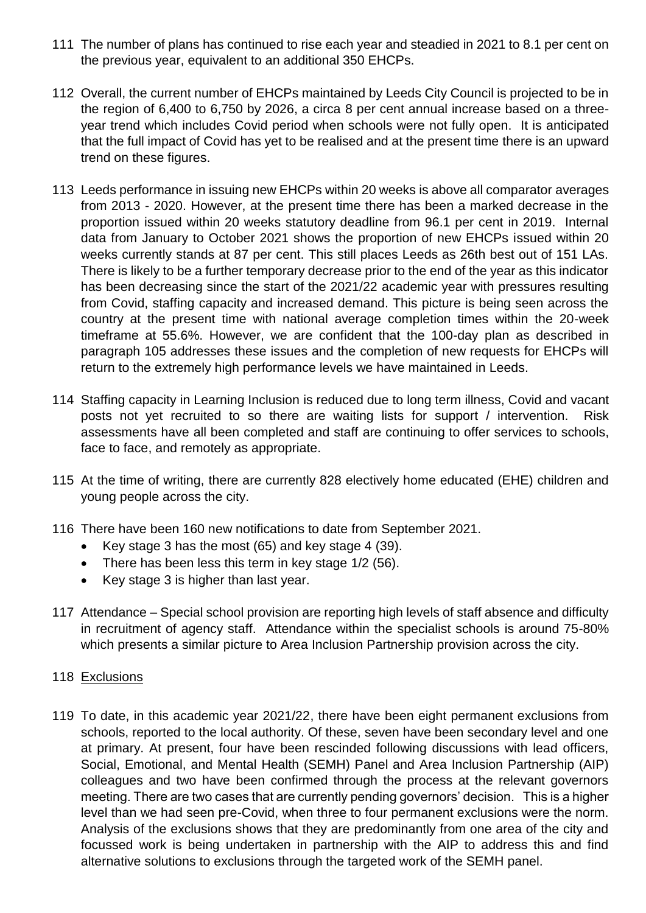- 111 The number of plans has continued to rise each year and steadied in 2021 to 8.1 per cent on the previous year, equivalent to an additional 350 EHCPs.
- 112 Overall, the current number of EHCPs maintained by Leeds City Council is projected to be in the region of 6,400 to 6,750 by 2026, a circa 8 per cent annual increase based on a threeyear trend which includes Covid period when schools were not fully open. It is anticipated that the full impact of Covid has yet to be realised and at the present time there is an upward trend on these figures.
- 113 Leeds performance in issuing new EHCPs within 20 weeks is above all comparator averages from 2013 - 2020. However, at the present time there has been a marked decrease in the proportion issued within 20 weeks statutory deadline from 96.1 per cent in 2019. Internal data from January to October 2021 shows the proportion of new EHCPs issued within 20 weeks currently stands at 87 per cent. This still places Leeds as 26th best out of 151 LAs. There is likely to be a further temporary decrease prior to the end of the year as this indicator has been decreasing since the start of the 2021/22 academic year with pressures resulting from Covid, staffing capacity and increased demand. This picture is being seen across the country at the present time with national average completion times within the 20-week timeframe at 55.6%. However, we are confident that the 100-day plan as described in paragraph 105 addresses these issues and the completion of new requests for EHCPs will return to the extremely high performance levels we have maintained in Leeds.
- 114 Staffing capacity in Learning Inclusion is reduced due to long term illness, Covid and vacant posts not yet recruited to so there are waiting lists for support / intervention. Risk assessments have all been completed and staff are continuing to offer services to schools, face to face, and remotely as appropriate.
- 115 At the time of writing, there are currently 828 electively home educated (EHE) children and young people across the city.
- 116 There have been 160 new notifications to date from September 2021.
	- Key stage 3 has the most (65) and key stage 4 (39).
	- There has been less this term in key stage 1/2 (56).
	- Key stage 3 is higher than last year.
- 117 Attendance Special school provision are reporting high levels of staff absence and difficulty in recruitment of agency staff. Attendance within the specialist schools is around 75-80% which presents a similar picture to Area Inclusion Partnership provision across the city.
- 118 Exclusions
- 119 To date, in this academic year 2021/22, there have been eight permanent exclusions from schools, reported to the local authority. Of these, seven have been secondary level and one at primary. At present, four have been rescinded following discussions with lead officers, Social, Emotional, and Mental Health (SEMH) Panel and Area Inclusion Partnership (AIP) colleagues and two have been confirmed through the process at the relevant governors meeting. There are two cases that are currently pending governors' decision. This is a higher level than we had seen pre-Covid, when three to four permanent exclusions were the norm. Analysis of the exclusions shows that they are predominantly from one area of the city and focussed work is being undertaken in partnership with the AIP to address this and find alternative solutions to exclusions through the targeted work of the SEMH panel.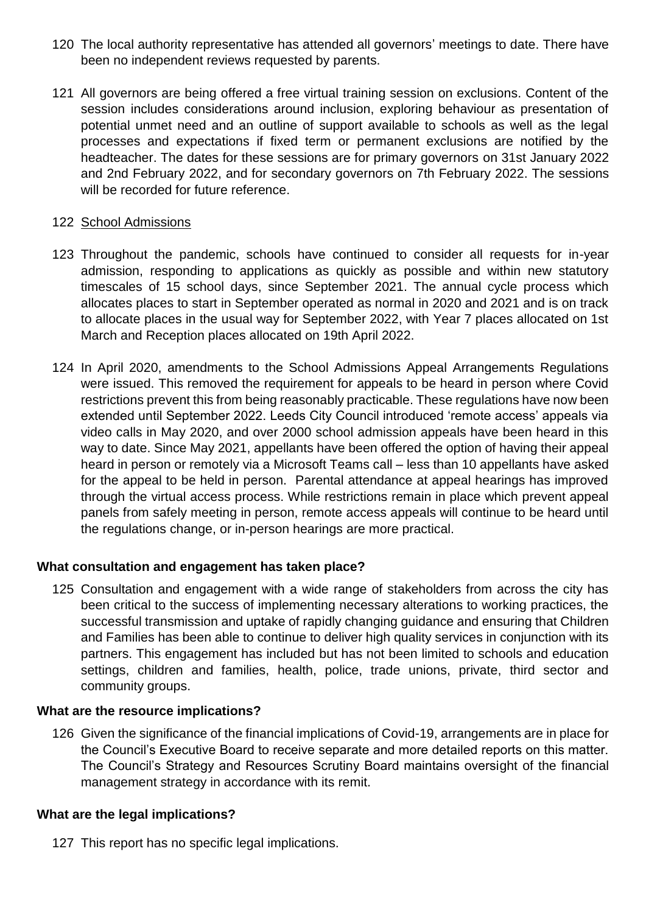- 120 The local authority representative has attended all governors' meetings to date. There have been no independent reviews requested by parents.
- 121 All governors are being offered a free virtual training session on exclusions. Content of the session includes considerations around inclusion, exploring behaviour as presentation of potential unmet need and an outline of support available to schools as well as the legal processes and expectations if fixed term or permanent exclusions are notified by the headteacher. The dates for these sessions are for primary governors on 31st January 2022 and 2nd February 2022, and for secondary governors on 7th February 2022. The sessions will be recorded for future reference.

## 122 School Admissions

- 123 Throughout the pandemic, schools have continued to consider all requests for in-year admission, responding to applications as quickly as possible and within new statutory timescales of 15 school days, since September 2021. The annual cycle process which allocates places to start in September operated as normal in 2020 and 2021 and is on track to allocate places in the usual way for September 2022, with Year 7 places allocated on 1st March and Reception places allocated on 19th April 2022.
- 124 In April 2020, amendments to the School Admissions Appeal Arrangements Regulations were issued. This removed the requirement for appeals to be heard in person where Covid restrictions prevent this from being reasonably practicable. These regulations have now been extended until September 2022. Leeds City Council introduced 'remote access' appeals via video calls in May 2020, and over 2000 school admission appeals have been heard in this way to date. Since May 2021, appellants have been offered the option of having their appeal heard in person or remotely via a Microsoft Teams call – less than 10 appellants have asked for the appeal to be held in person. Parental attendance at appeal hearings has improved through the virtual access process. While restrictions remain in place which prevent appeal panels from safely meeting in person, remote access appeals will continue to be heard until the regulations change, or in-person hearings are more practical.

## **What consultation and engagement has taken place?**

125 Consultation and engagement with a wide range of stakeholders from across the city has been critical to the success of implementing necessary alterations to working practices, the successful transmission and uptake of rapidly changing guidance and ensuring that Children and Families has been able to continue to deliver high quality services in conjunction with its partners. This engagement has included but has not been limited to schools and education settings, children and families, health, police, trade unions, private, third sector and community groups.

## **What are the resource implications?**

126 Given the significance of the financial implications of Covid-19, arrangements are in place for the Council's Executive Board to receive separate and more detailed reports on this matter. The Council's Strategy and Resources Scrutiny Board maintains oversight of the financial management strategy in accordance with its remit.

## **What are the legal implications?**

127 This report has no specific legal implications.